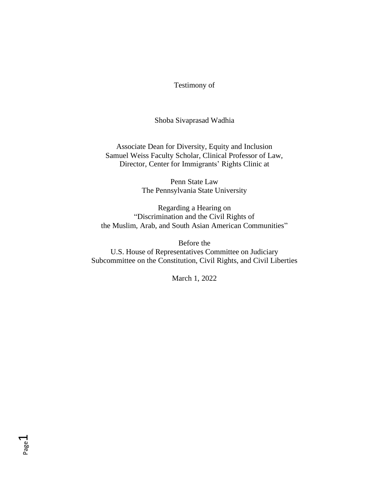Testimony of

Shoba Sivaprasad Wadhia

Associate Dean for Diversity, Equity and Inclusion Samuel Weiss Faculty Scholar, Clinical Professor of Law, Director, Center for Immigrants' Rights Clinic at

> Penn State Law The Pennsylvania State University

Regarding a Hearing on "Discrimination and the Civil Rights of the Muslim, Arab, and South Asian American Communities"

Before the U.S. House of Representatives Committee on Judiciary Subcommittee on the Constitution, Civil Rights, and Civil Liberties

March 1, 2022

Page  $\overline{\phantom{0}}$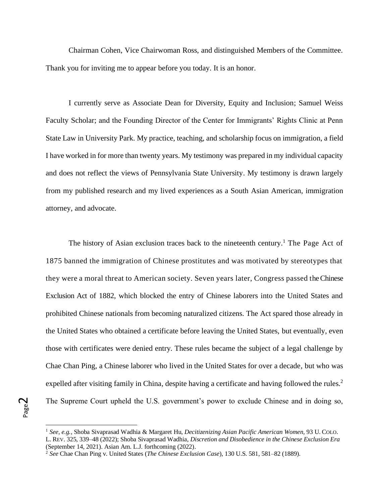Chairman Cohen, Vice Chairwoman Ross, and distinguished Members of the Committee. Thank you for inviting me to appear before you today. It is an honor.

I currently serve as Associate Dean for Diversity, Equity and Inclusion; Samuel Weiss Faculty Scholar; and the Founding Director of the Center for Immigrants' Rights Clinic at Penn State Law in University Park. My practice, teaching, and scholarship focus on immigration, a field I have worked in for more than twenty years. My testimony was prepared in my individual capacity and does not reflect the views of Pennsylvania State University. My testimony is drawn largely from my published research and my lived experiences as a South Asian American, immigration attorney, and advocate.

The history of Asian exclusion traces back to the nineteenth century.<sup>1</sup> The Page Act of 1875 banned the immigration of Chinese prostitutes and was motivated by stereotypes that they were a moral threat to American society. Seven years later, Congress passed the Chinese Exclusion Act of 1882, which blocked the entry of Chinese laborers into the United States and prohibited Chinese nationals from becoming naturalized citizens. The Act spared those already in the United States who obtained a certificate before leaving the United States, but eventually, even those with certificates were denied entry. These rules became the subject of a legal challenge by Chae Chan Ping, a Chinese laborer who lived in the United States for over a decade, but who was expelled after visiting family in China, despite having a certificate and having followed the rules.<sup>2</sup> The Supreme Court upheld the U.S. government's power to exclude Chinese and in doing so,

Page  $\boldsymbol{\sim}$ 

<sup>1</sup> *See, e.g.*, Shoba Sivaprasad Wadhia & Margaret Hu, *Decitizenizing Asian Pacific American Women*, 93 U. COLO. L. REV. 325, 339–48 (2022); Shoba Sivaprasad Wadhia, *Discretion and Disobedience in the Chinese Exclusion Era* (September 14, 2021). Asian Am. L.J. forthcoming (2022).

<sup>2</sup> *See* Chae Chan Ping v. United States (*The Chinese Exclusion Case*), 130 U.S. 581, 581–82 (1889).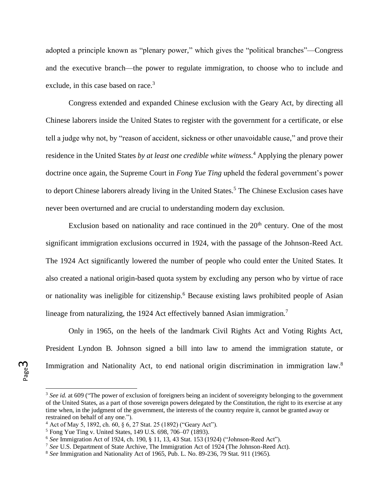adopted a principle known as "plenary power," which gives the "political branches"—Congress and the executive branch—the power to regulate immigration, to choose who to include and exclude, in this case based on race.<sup>3</sup>

Congress extended and expanded Chinese exclusion with the Geary Act, by directing all Chinese laborers inside the United States to register with the government for a certificate, or else tell a judge why not, by "reason of accident, sickness or other unavoidable cause," and prove their residence in the United States *by at least one credible white witness*. <sup>4</sup> Applying the plenary power doctrine once again, the Supreme Court in *Fong Yue Ting* upheld the federal government's power to deport Chinese laborers already living in the United States.<sup>5</sup> The Chinese Exclusion cases have never been overturned and are crucial to understanding modern day exclusion.

Exclusion based on nationality and race continued in the  $20<sup>th</sup>$  century. One of the most significant immigration exclusions occurred in 1924, with the passage of the Johnson-Reed Act. The 1924 Act significantly lowered the number of people who could enter the United States. It also created a national origin-based quota system by excluding any person who by virtue of race or nationality was ineligible for citizenship.<sup>6</sup> Because existing laws prohibited people of Asian lineage from naturalizing, the 1924 Act effectively banned Asian immigration.<sup>7</sup>

Only in 1965, on the heels of the landmark Civil Rights Act and Voting Rights Act, President Lyndon B. Johnson signed a bill into law to amend the immigration statute, or Immigration and Nationality Act, to end national origin discrimination in immigration law.<sup>8</sup>

<sup>&</sup>lt;sup>3</sup> See id. at 609 ("The power of exclusion of foreigners being an incident of sovereignty belonging to the government of the United States, as a part of those sovereign powers delegated by the Constitution, the right to its exercise at any time when, in the judgment of the government, the interests of the country require it, cannot be granted away or restrained on behalf of any one.").

<sup>4</sup> Act of May 5, 1892, ch. 60, § 6, 27 Stat. 25 (1892) ("Geary Act").

<sup>5</sup> Fong Yue Ting v. United States, 149 U.S. 698, 706–07 (1893).

<sup>6</sup> *See* Immigration Act of 1924, ch. 190, § 11, 13, 43 Stat. 153 (1924) ("Johnson-Reed Act").

<sup>7</sup> *See* U.S. Department of State Archive, The Immigration Act of 1924 (The Johnson-Reed Act).

<sup>8</sup> *See* Immigration and Nationality Act of 1965, Pub. L. No. 89-236, 79 Stat. 911 (1965).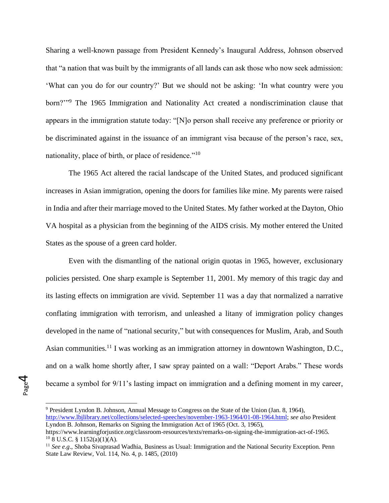Sharing a well-known passage from President Kennedy's Inaugural Address, Johnson observed that "a nation that was built by the immigrants of all lands can ask those who now seek admission: 'What can you do for our country?' But we should not be asking: 'In what country were you born?"<sup>9</sup> The 1965 Immigration and Nationality Act created a nondiscrimination clause that appears in the immigration statute today: "[N]o person shall receive any preference or priority or be discriminated against in the issuance of an immigrant visa because of the person's race, sex, nationality, place of birth, or place of residence."<sup>10</sup>

The 1965 Act altered the racial landscape of the United States, and produced significant increases in Asian immigration, opening the doors for families like mine. My parents were raised in India and after their marriage moved to the United States. My father worked at the Dayton, Ohio VA hospital as a physician from the beginning of the AIDS crisis. My mother entered the United States as the spouse of a green card holder.

Even with the dismantling of the national origin quotas in 1965, however, exclusionary policies persisted. One sharp example is September 11, 2001. My memory of this tragic day and its lasting effects on immigration are vivid. September 11 was a day that normalized a narrative conflating immigration with terrorism, and unleashed a litany of immigration policy changes developed in the name of "national security," but with consequences for Muslim, Arab, and South Asian communities.<sup>11</sup> I was working as an immigration attorney in downtown Washington, D.C., and on a walk home shortly after, I saw spray painted on a wall: "Deport Arabs." These words became a symbol for 9/11's lasting impact on immigration and a defining moment in my career,

Page 4

<sup>&</sup>lt;sup>9</sup> President Lyndon B. Johnson, Annual Message to Congress on the State of the Union (Jan. 8, 1964),

[http://www.lbjlibrary.net/collections/selected-speeches/november-1963-1964/01-08-1964.html;](http://www.lbjlibrary.net/collections/selected-speeches/november-1963-1964/01-08-1964.html) *see also* President Lyndon B. Johnson, Remarks on Signing the Immigration Act of 1965 (Oct. 3, 1965),

https://www.learningforjustice.org/classroom-resources/texts/remarks-on-signing-the-immigration-act-of-1965.  $10$  8 U.S.C. § 1152(a)(1)(A).

<sup>&</sup>lt;sup>11</sup> *See e.g.*, Shoba Sivaprasad Wadhia, Business as Usual: Immigration and the National Security Exception. Penn State Law Review, Vol. 114, No. 4, p. 1485, (2010)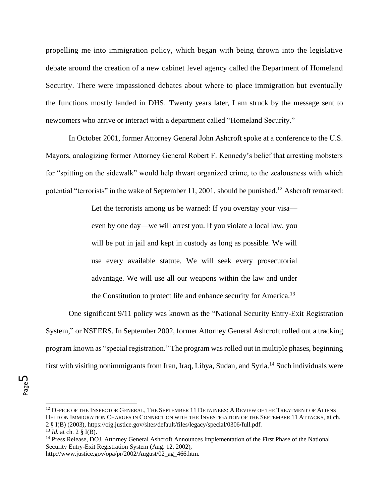propelling me into immigration policy, which began with being thrown into the legislative debate around the creation of a new cabinet level agency called the Department of Homeland Security. There were impassioned debates about where to place immigration but eventually the functions mostly landed in DHS. Twenty years later, I am struck by the message sent to newcomers who arrive or interact with a department called "Homeland Security."

In October 2001, former Attorney General John Ashcroft spoke at a conference to the U.S. Mayors, analogizing former Attorney General Robert F. Kennedy's belief that arresting mobsters for "spitting on the sidewalk" would help thwart organized crime, to the zealousness with which potential "terrorists" in the wake of September 11, 2001, should be punished.<sup>12</sup> Ashcroft remarked:

> Let the terrorists among us be warned: If you overstay your visa even by one day—we will arrest you. If you violate a local law, you will be put in jail and kept in custody as long as possible. We will use every available statute. We will seek every prosecutorial advantage. We will use all our weapons within the law and under the Constitution to protect life and enhance security for America.<sup>13</sup>

One significant 9/11 policy was known as the "National Security Entry-Exit Registration System," or NSEERS. In September 2002, former Attorney General Ashcroft rolled out a tracking program known as "special registration." The program was rolled out in multiple phases, beginning first with visiting nonimmigrants from Iran, Iraq, Libya, Sudan, and Syria.<sup>14</sup> Such individuals were

Page ഥ

<sup>&</sup>lt;sup>12</sup> OFFICE OF THE INSPECTOR GENERAL, THE SEPTEMBER 11 DETAINEES: A REVIEW OF THE TREATMENT OF ALIENS HELD ON IMMIGRATION CHARGES IN CONNECTION WITH THE INVESTIGATION OF THE SEPTEMBER 11 ATTACKS, at ch. 2 § I(B) (2003), https://oig.justice.gov/sites/default/files/legacy/special/0306/full.pdf. <sup>13</sup> *Id.* at ch. 2 § I(B).

<sup>14</sup> Press Release, DOJ, Attorney General Ashcroft Announces Implementation of the First Phase of the National Security Entry-Exit Registration System (Aug. 12, 2002), http://www.justice.gov/opa/pr/2002/August/02\_ag\_466.htm.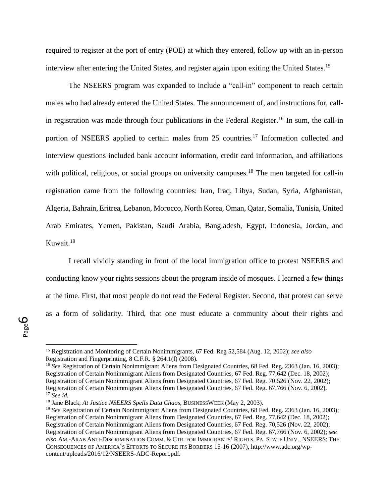required to register at the port of entry (POE) at which they entered, follow up with an in-person interview after entering the United States, and register again upon exiting the United States.<sup>15</sup>

The NSEERS program was expanded to include a "call-in" component to reach certain males who had already entered the United States. The announcement of, and instructions for, callin registration was made through four publications in the Federal Register.<sup>16</sup> In sum, the call-in portion of NSEERS applied to certain males from 25 countries.<sup>17</sup> Information collected and interview questions included bank account information, credit card information, and affiliations with political, religious, or social groups on university campuses.<sup>18</sup> The men targeted for call-in registration came from the following countries: Iran, Iraq, Libya, Sudan, Syria, Afghanistan, Algeria, Bahrain, Eritrea, Lebanon, Morocco, North Korea, Oman, Qatar, Somalia, Tunisia, United Arab Emirates, Yemen, Pakistan, Saudi Arabia, Bangladesh, Egypt, Indonesia, Jordan, and Kuwait.<sup>19</sup>

I recall vividly standing in front of the local immigration office to protest NSEERS and conducting know your rights sessions about the program inside of mosques. I learned a few things at the time. First, that most people do not read the Federal Register. Second, that protest can serve as a form of solidarity. Third, that one must educate a community about their rights and

<sup>16</sup> *See* Registration of Certain Nonimmigrant Aliens from Designated Countries, 68 Fed. Reg. 2363 (Jan. 16, 2003); Registration of Certain Nonimmigrant Aliens from Designated Countries, 67 Fed. Reg. 77,642 (Dec. 18, 2002); Registration of Certain Nonimmigrant Aliens from Designated Countries, 67 Fed. Reg. 70,526 (Nov. 22, 2002); Registration of Certain Nonimmigrant Aliens from Designated Countries, 67 Fed. Reg. 67,766 (Nov. 6, 2002). <sup>17</sup> *See id.*

<sup>15</sup> Registration and Monitoring of Certain Nonimmigrants, 67 Fed. Reg 52,584 (Aug. 12, 2002); *see also* Registration and Fingerprinting, 8 C.F.R. § 264.1(f) (2008).

<sup>18</sup> Jane Black, *At Justice NSEERS Spells Data Chaos*, BUSINESSWEEK (May 2, 2003).

<sup>19</sup> *See* Registration of Certain Nonimmigrant Aliens from Designated Countries, 68 Fed. Reg. 2363 (Jan. 16, 2003); Registration of Certain Nonimmigrant Aliens from Designated Countries, 67 Fed. Reg. 77,642 (Dec. 18, 2002); Registration of Certain Nonimmigrant Aliens from Designated Countries, 67 Fed. Reg. 70,526 (Nov. 22, 2002); Registration of Certain Nonimmigrant Aliens from Designated Countries, 67 Fed. Reg. 67,766 (Nov. 6, 2002); *see also* AM.-ARAB ANTI-DISCRIMINATION COMM. & CTR. FOR IMMIGRANTS' RIGHTS, PA. STATE UNIV., NSEERS: THE CONSEQUENCES OF AMERICA'S EFFORTS TO SECURE ITS BORDERS 15-16 (2007), http://www.adc.org/wpcontent/uploads/2016/12/NSEERS-ADC-Report.pdf.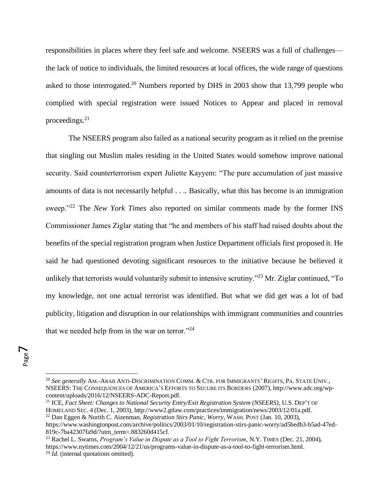responsibilities in places where they feel safe and welcome. NSEERS was a full of challenges the lack of notice to individuals, the limited resources at local offices, the wide range of questions asked to those interrogated.<sup>20</sup> Numbers reported by DHS in 2003 show that 13,799 people who complied with special registration were issued Notices to Appear and placed in removal proceedings. $21$ 

The NSEERS program also failed as a national security program as it relied on the premise that singling out Muslim males residing in the United States would somehow improve national security. Said counterterrorism expert Juliette Kayyem: "The pure accumulation of just massive amounts of data is not necessarily helpful . . .. Basically, what this has become is an immigration sweep."<sup>22</sup> The *New York Times* also reported on similar comments made by the former INS Commissioner James Ziglar stating that "he and members of his staff had raised doubts about the benefits of the special registration program when Justice Department officials first proposed it. He said he had questioned devoting significant resources to the initiative because he believed it unlikely that terrorists would voluntarily submit to intensive scrutiny."<sup>23</sup> Mr. Ziglar continued, "To my knowledge, not one actual terrorist was identified. But what we did get was a lot of bad publicity, litigation and disruption in our relationships with immigrant communities and countries that we needed help from in the war on terror."<sup>24</sup>

<sup>20</sup> *See generally* AM.-ARAB ANTI-DISCRIMINATION COMM. & CTR. FOR IMMIGRANTS' RIGHTS, PA. STATE UNIV., NSEERS: THE CONSEQUENCES OF AMERICA'S EFFORTS TO SECURE ITS BORDERS (2007), http://www.adc.org/wpcontent/uploads/2016/12/NSEERS-ADC-Report.pdf.

<sup>21</sup> ICE, *Fact Sheet: Changes to National Security Entry/Exit Registration System (NSEERS)*, U.S. DEP'T OF HOMELAND SEC. 4 (Dec. 1, 2003), http://www2.gtlaw.com/practices/immigration/news/2003/12/01a.pdf.

<sup>22</sup> Dan Eggen & Nurith C. Aizenman, *Registration Stirs Panic, Worry*, WASH. POST (Jan. 10, 2003), https://www.washingtonpost.com/archive/politics/2003/01/10/registration-stirs-panic-worry/ad5bedb3-b5ad-47ed-819c-7ba42307fa9d/?utm\_term=.883260d415cf.

<sup>23</sup> Rachel L. Swarns, *Program's Value in Dispute as a Tool to Fight Terrorism*, N.Y. TIMES (Dec. 21, 2004), https://www.nytimes.com/2004/12/21/us/programs-value-in-dispute-as-a-tool-to-fight-terrorism.html. <sup>24</sup> *Id.* (internal quotations omitted).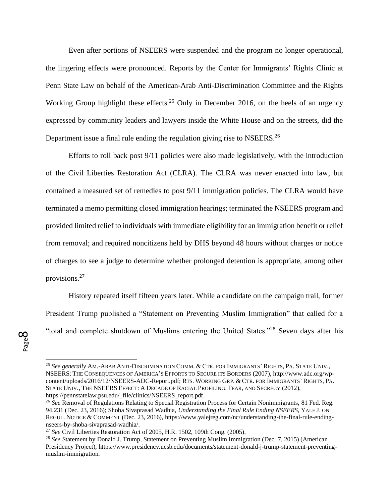Even after portions of NSEERS were suspended and the program no longer operational, the lingering effects were pronounced. Reports by the Center for Immigrants' Rights Clinic at Penn State Law on behalf of the American-Arab Anti-Discrimination Committee and the Rights Working Group highlight these effects.<sup>25</sup> Only in December 2016, on the heels of an urgency expressed by community leaders and lawyers inside the White House and on the streets, did the Department issue a final rule ending the regulation giving rise to NSEERS.<sup>26</sup>

Efforts to roll back post 9/11 policies were also made legislatively, with the introduction of the Civil Liberties Restoration Act (CLRA). The CLRA was never enacted into law, but contained a measured set of remedies to post 9/11 immigration policies. The CLRA would have terminated a memo permitting closed immigration hearings; terminated the NSEERS program and provided limited relief to individuals with immediate eligibility for an immigration benefit or relief from removal; and required noncitizens held by DHS beyond 48 hours without charges or notice of charges to see a judge to determine whether prolonged detention is appropriate, among other provisions.<sup>27</sup>

History repeated itself fifteen years later. While a candidate on the campaign trail, former President Trump published a "Statement on Preventing Muslim Immigration" that called for a "total and complete shutdown of Muslims entering the United States."<sup>28</sup> Seven days after his

<sup>25</sup> *See generally* AM.-ARAB ANTI-DISCRIMINATION COMM. & CTR. FOR IMMIGRANTS' RIGHTS, PA. STATE UNIV., NSEERS: THE CONSEQUENCES OF AMERICA'S EFFORTS TO SECURE ITS BORDERS (2007), http://www.adc.org/wpcontent/uploads/2016/12/NSEERS-ADC-Report.pdf; RTS. WORKING GRP. & CTR. FOR IMMIGRANTS' RIGHTS, PA. STATE UNIV., THE NSEERS EFFECT: A DECADE OF RACIAL PROFILING, FEAR, AND SECRECY (2012), https://pennstatelaw.psu.edu/\_file/clinics/NSEERS\_report.pdf.

<sup>&</sup>lt;sup>26</sup> See Removal of Regulations Relating to Special Registration Process for Certain Nonimmigrants, 81 Fed. Reg. 94,231 (Dec. 23, 2016); Shoba Sivaprasad Wadhia, *Understanding the Final Rule Ending NSEERS*, YALE J. ON REGUL. NOTICE & COMMENT (Dec. 23, 2016), https://www.yalejreg.com/nc/understanding-the-final-rule-endingnseers-by-shoba-sivaprasad-wadhia/.

<sup>27</sup> *See* Civil Liberties Restoration Act of 2005, H.R. 1502, 109th Cong. (2005).

<sup>28</sup> *See* Statement by Donald J. Trump, Statement on Preventing Muslim Immigration (Dec. 7, 2015) (American Presidency Project), https://www.presidency.ucsb.edu/documents/statement-donald-j-trump-statement-preventingmuslim-immigration.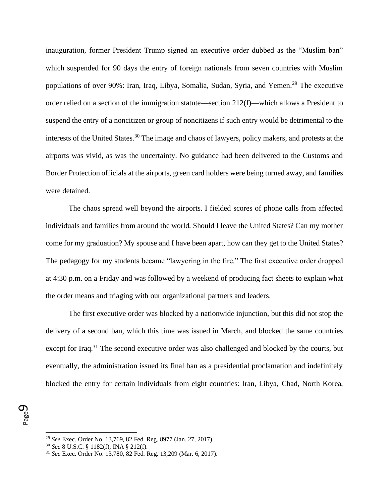inauguration, former President Trump signed an executive order dubbed as the "Muslim ban" which suspended for 90 days the entry of foreign nationals from seven countries with Muslim populations of over 90%: Iran, Iraq, Libya, Somalia, Sudan, Syria, and Yemen.<sup>29</sup> The executive order relied on a section of the immigration statute—section 212(f)—which allows a President to suspend the entry of a noncitizen or group of noncitizens if such entry would be detrimental to the interests of the United States.<sup>30</sup> The image and chaos of lawyers, policy makers, and protests at the airports was vivid, as was the uncertainty. No guidance had been delivered to the Customs and Border Protection officials at the airports, green card holders were being turned away, and families were detained.

The chaos spread well beyond the airports. I fielded scores of phone calls from affected individuals and families from around the world. Should I leave the United States? Can my mother come for my graduation? My spouse and I have been apart, how can they get to the United States? The pedagogy for my students became "lawyering in the fire." The first executive order dropped at 4:30 p.m. on a Friday and was followed by a weekend of producing fact sheets to explain what the order means and triaging with our organizational partners and leaders.

The first executive order was blocked by a nationwide injunction, but this did not stop the delivery of a second ban, which this time was issued in March, and blocked the same countries except for Iraq.<sup>31</sup> The second executive order was also challenged and blocked by the courts, but eventually, the administration issued its final ban as a presidential proclamation and indefinitely blocked the entry for certain individuals from eight countries: Iran, Libya, Chad, North Korea,

Page თ

<sup>29</sup> *See* Exec. Order No. 13,769, 82 Fed. Reg. 8977 (Jan. 27, 2017).

<sup>30</sup> *See* 8 U.S.C. § 1182(f); INA § 212(f).

<sup>31</sup> *See* Exec. Order No. 13,780, 82 Fed. Reg. 13,209 (Mar. 6, 2017).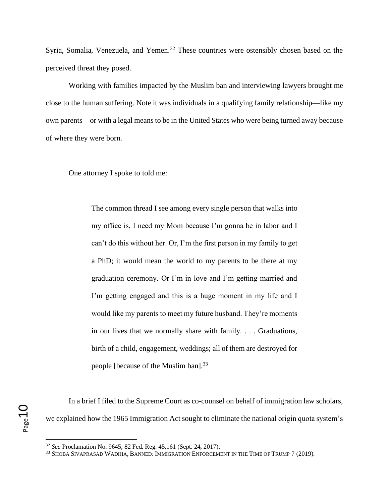Syria, Somalia, Venezuela, and Yemen.<sup>32</sup> These countries were ostensibly chosen based on the perceived threat they posed.

Working with families impacted by the Muslim ban and interviewing lawyers brought me close to the human suffering. Note it was individuals in a qualifying family relationship—like my own parents—or with a legal means to be in the United States who were being turned away because of where they were born.

One attorney I spoke to told me:

The common thread I see among every single person that walks into my office is, I need my Mom because I'm gonna be in labor and I can't do this without her. Or, I'm the first person in my family to get a PhD; it would mean the world to my parents to be there at my graduation ceremony. Or I'm in love and I'm getting married and I'm getting engaged and this is a huge moment in my life and I would like my parents to meet my future husband. They're moments in our lives that we normally share with family. . . . Graduations, birth of a child, engagement, weddings; all of them are destroyed for people [because of the Muslim ban].<sup>33</sup>

In a brief I filed to the Supreme Court as co-counsel on behalf of immigration law scholars, we explained how the 1965 Immigration Act sought to eliminate the national origin quota system's

<sup>32</sup> *See* Proclamation No. 9645, 82 Fed. Reg. 45,161 (Sept. 24, 2017).

<sup>33</sup> SHOBA SIVAPRASAD WADHIA, BANNED: IMMIGRATION ENFORCEMENT IN THE TIME OF TRUMP 7 (2019).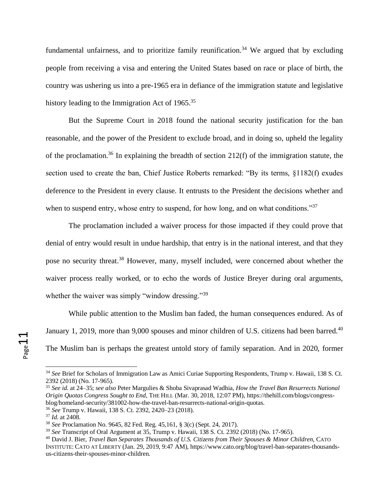fundamental unfairness, and to prioritize family reunification.<sup>34</sup> We argued that by excluding people from receiving a visa and entering the United States based on race or place of birth, the country was ushering us into a pre-1965 era in defiance of the immigration statute and legislative history leading to the Immigration Act of 1965.<sup>35</sup>

But the Supreme Court in 2018 found the national security justification for the ban reasonable, and the power of the President to exclude broad, and in doing so, upheld the legality of the proclamation.<sup>36</sup> In explaining the breadth of section 212(f) of the immigration statute, the section used to create the ban, Chief Justice Roberts remarked: "By its terms, §1182(f) exudes deference to the President in every clause. It entrusts to the President the decisions whether and when to suspend entry, whose entry to suspend, for how long, and on what conditions."<sup>37</sup>

The proclamation included a waiver process for those impacted if they could prove that denial of entry would result in undue hardship, that entry is in the national interest, and that they pose no security threat.<sup>38</sup> However, many, myself included, were concerned about whether the waiver process really worked, or to echo the words of Justice Breyer during oral arguments, whether the waiver was simply "window dressing."<sup>39</sup>

While public attention to the Muslim ban faded, the human consequences endured. As of January 1, 2019, more than 9,000 spouses and minor children of U.S. citizens had been barred.<sup>40</sup> The Muslim ban is perhaps the greatest untold story of family separation. And in 2020, former

Page11

<sup>34</sup> *See* Brief for Scholars of Immigration Law as Amici Curiae Supporting Respondents, Trump v. Hawaii, 138 S. Ct. 2392 (2018) (No. 17-965).

<sup>35</sup> *See id.* at 24–35; *see also* Peter Margulies & Shoba Sivaprasad Wadhia, *How the Travel Ban Resurrects National Origin Quotas Congress Sought to End*, THE HILL (Mar. 30, 2018, 12:07 PM), https://thehill.com/blogs/congressblog/homeland-security/381002-how-the-travel-ban-resurrects-national-origin-quotas.

<sup>36</sup> *See* Trump v. Hawaii, 138 S. Ct. 2392, 2420–23 (2018).

<sup>37</sup> *Id.* at 2408.

<sup>38</sup> *See* Proclamation No. 9645, 82 Fed. Reg. 45,161, § 3(c) (Sept. 24, 2017).

<sup>39</sup> *See* Transcript of Oral Argument at 35, Trump v. Hawaii, 138 S. Ct. 2392 (2018) (No. 17-965).

<sup>40</sup> David J. Bier, *Travel Ban Separates Thousands of U.S. Citizens from Their Spouses & Minor Children*, CATO INSTITUTE: CATO AT LIBERTY (Jan. 29, 2019, 9:47 AM), https://www.cato.org/blog/travel-ban-separates-thousandsus-citizens-their-spouses-minor-children.